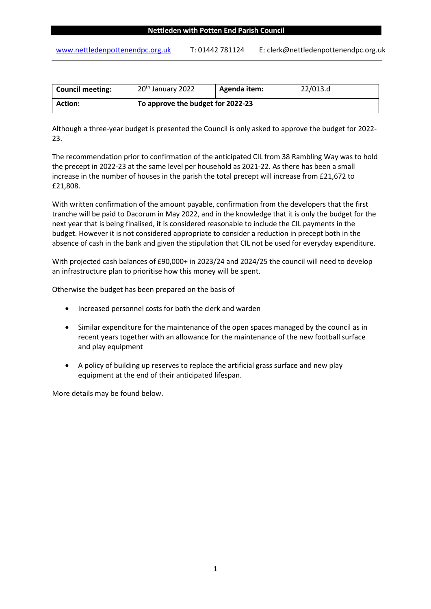[www.nettledenpottenendpc.org.uk](http://www.nettledenpottenendpc.org.uk/) T: 01442 781124 E: clerk@nettledenpottenendpc.org.uk

| <b>Council meeting:</b> | 20 <sup>th</sup> January 2022     | Agenda item: | 22/013.d |  |  |
|-------------------------|-----------------------------------|--------------|----------|--|--|
| <b>Action:</b>          | To approve the budget for 2022-23 |              |          |  |  |

Although a three-year budget is presented the Council is only asked to approve the budget for 2022- 23.

The recommendation prior to confirmation of the anticipated CIL from 38 Rambling Way was to hold the precept in 2022-23 at the same level per household as 2021-22. As there has been a small increase in the number of houses in the parish the total precept will increase from £21,672 to £21,808.

With written confirmation of the amount payable, confirmation from the developers that the first tranche will be paid to Dacorum in May 2022, and in the knowledge that it is only the budget for the next year that is being finalised, it is considered reasonable to include the CIL payments in the budget. However it is not considered appropriate to consider a reduction in precept both in the absence of cash in the bank and given the stipulation that CIL not be used for everyday expenditure.

With projected cash balances of £90,000+ in 2023/24 and 2024/25 the council will need to develop an infrastructure plan to prioritise how this money will be spent.

Otherwise the budget has been prepared on the basis of

- Increased personnel costs for both the clerk and warden
- Similar expenditure for the maintenance of the open spaces managed by the council as in recent years together with an allowance for the maintenance of the new football surface and play equipment
- A policy of building up reserves to replace the artificial grass surface and new play equipment at the end of their anticipated lifespan.

More details may be found below.